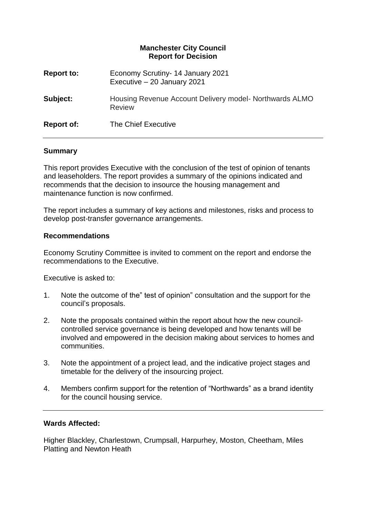## **Manchester City Council Report for Decision**

| Report to:        | Economy Scrutiny- 14 January 2021<br>Executive - 20 January 2021 |
|-------------------|------------------------------------------------------------------|
| Subject:          | Housing Revenue Account Delivery model-Northwards ALMO<br>Review |
| <b>Report of:</b> | The Chief Executive                                              |

#### **Summary**

This report provides Executive with the conclusion of the test of opinion of tenants and leaseholders. The report provides a summary of the opinions indicated and recommends that the decision to insource the housing management and maintenance function is now confirmed.

The report includes a summary of key actions and milestones, risks and process to develop post-transfer governance arrangements.

#### **Recommendations**

Economy Scrutiny Committee is invited to comment on the report and endorse the recommendations to the Executive.

Executive is asked to:

- 1. Note the outcome of the" test of opinion" consultation and the support for the council's proposals.
- 2. Note the proposals contained within the report about how the new councilcontrolled service governance is being developed and how tenants will be involved and empowered in the decision making about services to homes and communities.
- 3. Note the appointment of a project lead, and the indicative project stages and timetable for the delivery of the insourcing project.
- 4. Members confirm support for the retention of "Northwards" as a brand identity for the council housing service.

### **Wards Affected:**

Higher Blackley, Charlestown, Crumpsall, Harpurhey, Moston, Cheetham, Miles Platting and Newton Heath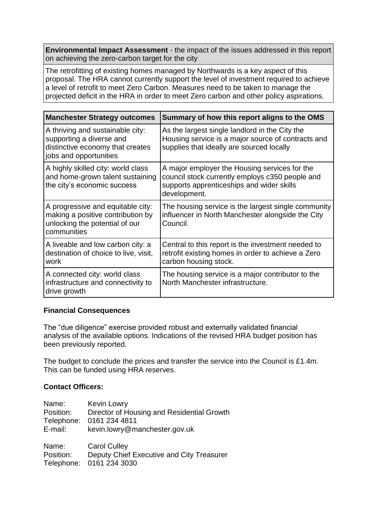**Environmental Impact Assessment** - the impact of the issues addressed in this report on achieving the zero-carbon target for the city

The retrofitting of existing homes managed by Northwards is a key aspect of this proposal. The HRA cannot currently support the level of investment required to achieve a level of retrofit to meet Zero Carbon. Measures need to be taken to manage the projected deficit in the HRA in order to meet Zero carbon and other policy aspirations.

| <b>Manchester Strategy outcomes</b>                                                                                        | Summary of how this report aligns to the OMS                                                                                                                  |  |
|----------------------------------------------------------------------------------------------------------------------------|---------------------------------------------------------------------------------------------------------------------------------------------------------------|--|
| A thriving and sustainable city:<br>supporting a diverse and<br>distinctive economy that creates<br>jobs and opportunities | As the largest single landlord in the City the<br>Housing service is a major source of contracts and<br>supplies that ideally are sourced locally             |  |
| A highly skilled city: world class<br>and home-grown talent sustaining<br>the city's economic success                      | A major employer the Housing services for the<br>council stock currently employs c350 people and<br>supports apprenticeships and wider skills<br>development. |  |
| A progressive and equitable city:<br>making a positive contribution by<br>unlocking the potential of our<br>communities    | The housing service is the largest single community<br>influencer in North Manchester alongside the City<br>Council.                                          |  |
| A liveable and low carbon city: a<br>destination of choice to live, visit,<br>work                                         | Central to this report is the investment needed to<br>retrofit existing homes in order to achieve a Zero<br>carbon housing stock.                             |  |
| A connected city: world class<br>infrastructure and connectivity to<br>drive growth                                        | The housing service is a major contributor to the<br>North Manchester infrastructure.                                                                         |  |

### **Financial Consequences**

The "due diligence" exercise provided robust and externally validated financial analysis of the available options. Indications of the revised HRA budget position has been previously reported.

The budget to conclude the prices and transfer the service into the Council is £1.4m. This can be funded using HRA reserves.

### **Contact Officers:**

| Name:      | Kevin Lowry                                |
|------------|--------------------------------------------|
| Position:  | Director of Housing and Residential Growth |
| Telephone: | 0161 234 4811                              |
| E-mail:    | kevin.lowry@manchester.gov.uk              |
| Name:      | <b>Carol Culley</b>                        |
| Position:  | Deputy Chief Executive and City Treasurer  |
| Telephone: | 0161 234 3030                              |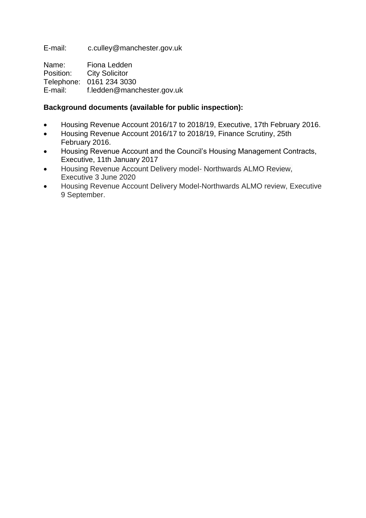E-mail: c.culley@manchester.gov.uk

Name: Fiona Ledden Position: City Solicitor Telephone: 0161 234 3030 E-mail: f.ledden@manchester.gov.uk

# **Background documents (available for public inspection):**

- Housing Revenue Account 2016/17 to 2018/19, Executive, 17th February 2016.
- Housing Revenue Account 2016/17 to 2018/19, Finance Scrutiny, 25th February 2016.
- Housing Revenue Account and the Council's Housing Management Contracts, Executive, 11th January 2017
- Housing Revenue Account Delivery model- Northwards ALMO Review, Executive 3 June 2020
- Housing Revenue Account Delivery Model-Northwards ALMO review, Executive 9 September.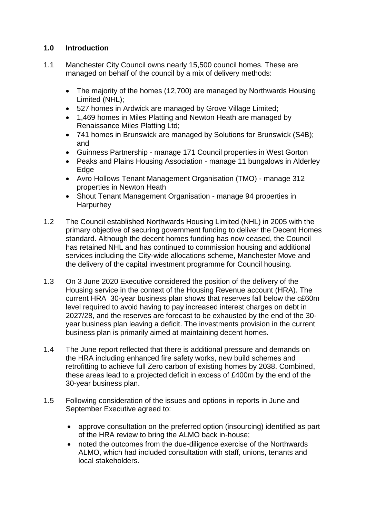# **1.0 Introduction**

- 1.1 Manchester City Council owns nearly 15,500 council homes. These are managed on behalf of the council by a mix of delivery methods:
	- The majority of the homes (12,700) are managed by Northwards Housing Limited (NHL);
	- 527 homes in Ardwick are managed by Grove Village Limited;
	- 1,469 homes in Miles Platting and Newton Heath are managed by Renaissance Miles Platting Ltd;
	- 741 homes in Brunswick are managed by Solutions for Brunswick (S4B); and
	- Guinness Partnership manage 171 Council properties in West Gorton
	- Peaks and Plains Housing Association manage 11 bungalows in Alderley **Edge**
	- Avro Hollows Tenant Management Organisation (TMO) manage 312 properties in Newton Heath
	- Shout Tenant Management Organisation manage 94 properties in Harpurhey
- 1.2 The Council established Northwards Housing Limited (NHL) in 2005 with the primary objective of securing government funding to deliver the Decent Homes standard. Although the decent homes funding has now ceased, the Council has retained NHL and has continued to commission housing and additional services including the City-wide allocations scheme, Manchester Move and the delivery of the capital investment programme for Council housing.
- 1.3 On 3 June 2020 Executive considered the position of the delivery of the Housing service in the context of the Housing Revenue account (HRA). The current HRA 30-year business plan shows that reserves fall below the c£60m level required to avoid having to pay increased interest charges on debt in 2027/28, and the reserves are forecast to be exhausted by the end of the 30 year business plan leaving a deficit. The investments provision in the current business plan is primarily aimed at maintaining decent homes.
- 1.4 The June report reflected that there is additional pressure and demands on the HRA including enhanced fire safety works, new build schemes and retrofitting to achieve full Zero carbon of existing homes by 2038. Combined, these areas lead to a projected deficit in excess of £400m by the end of the 30-year business plan.
- 1.5 Following consideration of the issues and options in reports in June and September Executive agreed to:
	- approve consultation on the preferred option (insourcing) identified as part of the HRA review to bring the ALMO back in-house;
	- noted the outcomes from the due-diligence exercise of the Northwards ALMO, which had included consultation with staff, unions, tenants and local stakeholders.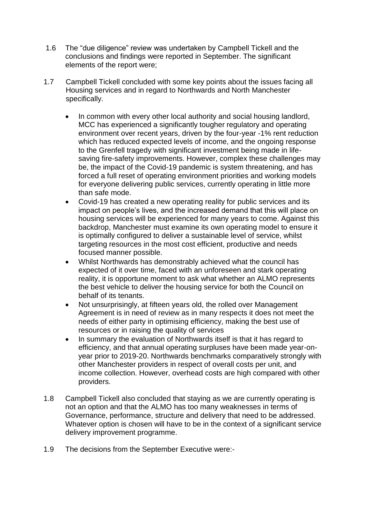- 1.6 The "due diligence" review was undertaken by Campbell Tickell and the conclusions and findings were reported in September. The significant elements of the report were;
- 1.7 Campbell Tickell concluded with some key points about the issues facing all Housing services and in regard to Northwards and North Manchester specifically.
	- In common with every other local authority and social housing landlord, MCC has experienced a significantly tougher regulatory and operating environment over recent years, driven by the four-year -1% rent reduction which has reduced expected levels of income, and the ongoing response to the Grenfell tragedy with significant investment being made in lifesaving fire-safety improvements. However, complex these challenges may be, the impact of the Covid-19 pandemic is system threatening, and has forced a full reset of operating environment priorities and working models for everyone delivering public services, currently operating in little more than safe mode.
	- Covid-19 has created a new operating reality for public services and its impact on people's lives, and the increased demand that this will place on housing services will be experienced for many years to come. Against this backdrop, Manchester must examine its own operating model to ensure it is optimally configured to deliver a sustainable level of service, whilst targeting resources in the most cost efficient, productive and needs focused manner possible.
	- Whilst Northwards has demonstrably achieved what the council has expected of it over time, faced with an unforeseen and stark operating reality, it is opportune moment to ask what whether an ALMO represents the best vehicle to deliver the housing service for both the Council on behalf of its tenants.
	- Not unsurprisingly, at fifteen years old, the rolled over Management Agreement is in need of review as in many respects it does not meet the needs of either party in optimising efficiency, making the best use of resources or in raising the quality of services
	- In summary the evaluation of Northwards itself is that it has regard to efficiency, and that annual operating surpluses have been made year-onyear prior to 2019-20. Northwards benchmarks comparatively strongly with other Manchester providers in respect of overall costs per unit, and income collection. However, overhead costs are high compared with other providers.
- 1.8 Campbell Tickell also concluded that staying as we are currently operating is not an option and that the ALMO has too many weaknesses in terms of Governance, performance, structure and delivery that need to be addressed. Whatever option is chosen will have to be in the context of a significant service delivery improvement programme.
- 1.9 The decisions from the September Executive were:-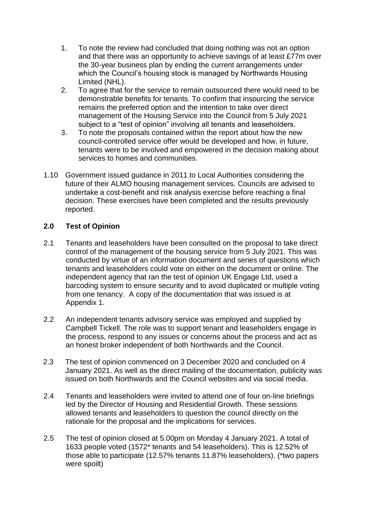- 1. To note the review had concluded that doing nothing was not an option and that there was an opportunity to achieve savings of at least £77m over the 30-year business plan by ending the current arrangements under which the Council's housing stock is managed by Northwards Housing Limited (NHL).
- 2. To agree that for the service to remain outsourced there would need to be demonstrable benefits for tenants. To confirm that insourcing the service remains the preferred option and the intention to take over direct management of the Housing Service into the Council from 5 July 2021 subject to a "test of opinion" involving all tenants and leaseholders.
- 3. To note the proposals contained within the report about how the new council-controlled service offer would be developed and how, in future, tenants were to be involved and empowered in the decision making about services to homes and communities.
- 1.10 Government issued guidance in 2011 to Local Authorities considering the future of their ALMO housing management services. Councils are advised to undertake a cost-benefit and risk analysis exercise before reaching a final decision. These exercises have been completed and the results previously reported.

## **2.0 Test of Opinion**

- 2.1 Tenants and leaseholders have been consulted on the proposal to take direct control of the management of the housing service from 5 July 2021. This was conducted by virtue of an information document and series of questions which tenants and leaseholders could vote on either on the document or online. The independent agency that ran the test of opinion UK Engage Ltd, used a barcoding system to ensure security and to avoid duplicated or multiple voting from one tenancy. A copy of the documentation that was issued is at Appendix 1.
- 2.2 An independent tenants advisory service was employed and supplied by Campbell Tickell. The role was to support tenant and leaseholders engage in the process, respond to any issues or concerns about the process and act as an honest broker independent of both Northwards and the Council.
- 2.3 The test of opinion commenced on 3 December 2020 and concluded on 4 January 2021. As well as the direct mailing of the documentation, publicity was issued on both Northwards and the Council websites and via social media.
- 2.4 Tenants and leaseholders were invited to attend one of four on-line briefings led by the Director of Housing and Residential Growth. These sessions allowed tenants and leaseholders to question the council directly on the rationale for the proposal and the implications for services.
- 2.5 The test of opinion closed at 5.00pm on Monday 4 January 2021. A total of 1633 people voted (1572\* tenants and 54 leaseholders). This is 12.52% of those able to participate (12.57% tenants 11.87% leaseholders). (\*two papers were spoilt)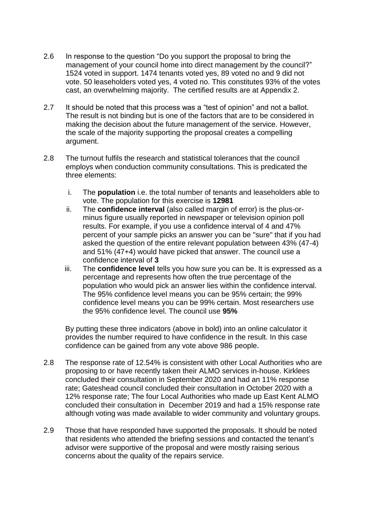- 2.6 In response to the question "Do you support the proposal to bring the management of your council home into direct management by the council?" 1524 voted in support. 1474 tenants voted yes, 89 voted no and 9 did not vote. 50 leaseholders voted yes, 4 voted no. This constitutes 93% of the votes cast, an overwhelming majority. The certified results are at Appendix 2.
- 2.7 It should be noted that this process was a "test of opinion" and not a ballot. The result is not binding but is one of the factors that are to be considered in making the decision about the future management of the service. However, the scale of the majority supporting the proposal creates a compelling argument.
- 2.8 The turnout fulfils the research and statistical tolerances that the council employs when conduction community consultations. This is predicated the three elements:
	- i. The **population** i.e. the total number of tenants and leaseholders able to vote. The population for this exercise is **12981**
	- ii. The **confidence interval** (also called margin of error) is the plus-orminus figure usually reported in newspaper or television opinion poll results. For example, if you use a confidence interval of 4 and 47% percent of your sample picks an answer you can be "sure" that if you had asked the question of the entire relevant population between 43% (47-4) and 51% (47+4) would have picked that answer. The council use a confidence interval of **3**
	- iii. The **confidence level** tells you how sure you can be. It is expressed as a percentage and represents how often the true percentage of the population who would pick an answer lies within the confidence interval. The 95% confidence level means you can be 95% certain; the 99% confidence level means you can be 99% certain. Most researchers use the 95% confidence level. The council use **95%**

By putting these three indicators (above in bold) into an online calculator it provides the number required to have confidence in the result. In this case confidence can be gained from any vote above 986 people**.** 

- 2.8 The response rate of 12.54% is consistent with other Local Authorities who are proposing to or have recently taken their ALMO services in-house. Kirklees concluded their consultation in September 2020 and had an 11% response rate; Gateshead council concluded their consultation in October 2020 with a 12% response rate; The four Local Authorities who made up East Kent ALMO concluded their consultation in December 2019 and had a 15% response rate although voting was made available to wider community and voluntary groups.
- 2.9 Those that have responded have supported the proposals. It should be noted that residents who attended the briefing sessions and contacted the tenant's advisor were supportive of the proposal and were mostly raising serious concerns about the quality of the repairs service.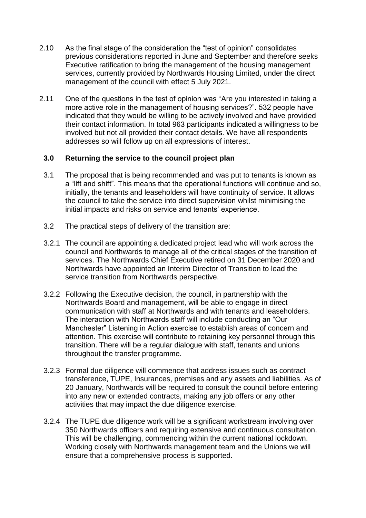- 2.10 As the final stage of the consideration the "test of opinion" consolidates previous considerations reported in June and September and therefore seeks Executive ratification to bring the management of the housing management services, currently provided by Northwards Housing Limited, under the direct management of the council with effect 5 July 2021.
- 2.11 One of the questions in the test of opinion was "Are you interested in taking a more active role in the management of housing services?". 532 people have indicated that they would be willing to be actively involved and have provided their contact information. In total 963 participants indicated a willingness to be involved but not all provided their contact details. We have all respondents addresses so will follow up on all expressions of interest.

## **3.0 Returning the service to the council project plan**

- 3.1 The proposal that is being recommended and was put to tenants is known as a "lift and shift". This means that the operational functions will continue and so, initially, the tenants and leaseholders will have continuity of service. It allows the council to take the service into direct supervision whilst minimising the initial impacts and risks on service and tenants' experience.
- 3.2 The practical steps of delivery of the transition are:
- 3.2.1 The council are appointing a dedicated project lead who will work across the council and Northwards to manage all of the critical stages of the transition of services. The Northwards Chief Executive retired on 31 December 2020 and Northwards have appointed an Interim Director of Transition to lead the service transition from Northwards perspective.
- 3.2.2 Following the Executive decision, the council, in partnership with the Northwards Board and management, will be able to engage in direct communication with staff at Northwards and with tenants and leaseholders. The interaction with Northwards staff will include conducting an "Our Manchester" Listening in Action exercise to establish areas of concern and attention. This exercise will contribute to retaining key personnel through this transition. There will be a regular dialogue with staff, tenants and unions throughout the transfer programme.
- 3.2.3 Formal due diligence will commence that address issues such as contract transference, TUPE, Insurances, premises and any assets and liabilities. As of 20 January, Northwards will be required to consult the council before entering into any new or extended contracts, making any job offers or any other activities that may impact the due diligence exercise.
- 3.2.4 The TUPE due diligence work will be a significant workstream involving over 350 Northwards officers and requiring extensive and continuous consultation. This will be challenging, commencing within the current national lockdown. Working closely with Northwards management team and the Unions we will ensure that a comprehensive process is supported.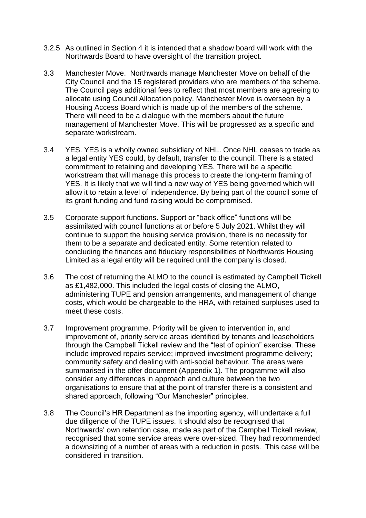- 3.2.5 As outlined in Section 4 it is intended that a shadow board will work with the Northwards Board to have oversight of the transition project.
- 3.3 Manchester Move. Northwards manage Manchester Move on behalf of the City Council and the 15 registered providers who are members of the scheme. The Council pays additional fees to reflect that most members are agreeing to allocate using Council Allocation policy. Manchester Move is overseen by a Housing Access Board which is made up of the members of the scheme. There will need to be a dialogue with the members about the future management of Manchester Move. This will be progressed as a specific and separate workstream.
- 3.4 YES. YES is a wholly owned subsidiary of NHL. Once NHL ceases to trade as a legal entity YES could, by default, transfer to the council. There is a stated commitment to retaining and developing YES. There will be a specific workstream that will manage this process to create the long-term framing of YES. It is likely that we will find a new way of YES being governed which will allow it to retain a level of independence. By being part of the council some of its grant funding and fund raising would be compromised.
- 3.5 Corporate support functions. Support or "back office" functions will be assimilated with council functions at or before 5 July 2021. Whilst they will continue to support the housing service provision, there is no necessity for them to be a separate and dedicated entity. Some retention related to concluding the finances and fiduciary responsibilities of Northwards Housing Limited as a legal entity will be required until the company is closed.
- 3.6 The cost of returning the ALMO to the council is estimated by Campbell Tickell as £1,482,000. This included the legal costs of closing the ALMO, administering TUPE and pension arrangements, and management of change costs, which would be chargeable to the HRA, with retained surpluses used to meet these costs.
- 3.7 Improvement programme. Priority will be given to intervention in, and improvement of, priority service areas identified by tenants and leaseholders through the Campbell Tickell review and the "test of opinion" exercise. These include improved repairs service; improved investment programme delivery; community safety and dealing with anti-social behaviour. The areas were summarised in the offer document (Appendix 1). The programme will also consider any differences in approach and culture between the two organisations to ensure that at the point of transfer there is a consistent and shared approach, following "Our Manchester" principles.
- 3.8 The Council's HR Department as the importing agency, will undertake a full due diligence of the TUPE issues. It should also be recognised that Northwards' own retention case, made as part of the Campbell Tickell review, recognised that some service areas were over-sized. They had recommended a downsizing of a number of areas with a reduction in posts. This case will be considered in transition.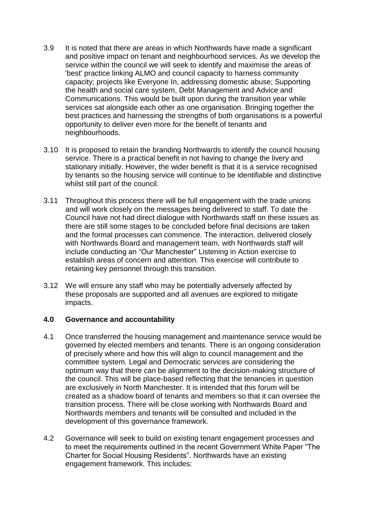- 3.9 It is noted that there are areas in which Northwards have made a significant and positive impact on tenant and neighbourhood services. As we develop the service within the council we will seek to identify and maximise the areas of 'best' practice linking ALMO and council capacity to harness community capacity; projects like Everyone In, addressing domestic abuse; Supporting the health and social care system, Debt Management and Advice and Communications. This would be built upon during the transition year while services sat alongside each other as one organisation. Bringing together the best practices and harnessing the strengths of both organisations is a powerful opportunity to deliver even more for the benefit of tenants and neighbourhoods.
- 3.10 It is proposed to retain the branding Northwards to identify the council housing service. There is a practical benefit in not having to change the livery and stationary initially. However, the wider benefit is that it is a service recognised by tenants so the housing service will continue to be identifiable and distinctive whilst still part of the council.
- 3.11 Throughout this process there will be full engagement with the trade unions and will work closely on the messages being delivered to staff. To date the Council have not had direct dialogue with Northwards staff on these issues as there are still some stages to be concluded before final decisions are taken and the formal processes can commence. The interaction, delivered closely with Northwards Board and management team, with Northwards staff will include conducting an "Our Manchester" Listening in Action exercise to establish areas of concern and attention. This exercise will contribute to retaining key personnel through this transition.
- 3.12 We will ensure any staff who may be potentially adversely affected by these proposals are supported and all avenues are explored to mitigate impacts.

### **4.0 Governance and accountability**

- 4.1 Once transferred the housing management and maintenance service would be governed by elected members and tenants. There is an ongoing consideration of precisely where and how this will align to council management and the committee system. Legal and Democratic services are considering the optimum way that there can be alignment to the decision-making structure of the council. This will be place-based reflecting that the tenancies in question are exclusively in North Manchester. It is intended that this forum will be created as a shadow board of tenants and members so that it can oversee the transition process. There will be close working with Northwards Board and Northwards members and tenants will be consulted and included in the development of this governance framework.
- 4.2 Governance will seek to build on existing tenant engagement processes and to meet the requirements outlined in the recent Government White Paper "The Charter for Social Housing Residents". Northwards have an existing engagement framework. This includes: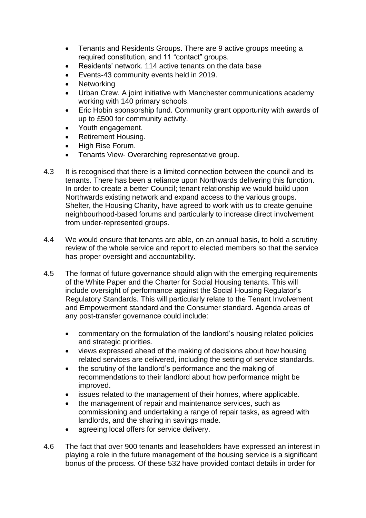- Tenants and Residents Groups. There are 9 active groups meeting a required constitution, and 11 "contact" groups.
- Residents' network. 114 active tenants on the data base
- Events-43 community events held in 2019.
- Networking
- Urban Crew. A joint initiative with Manchester communications academy working with 140 primary schools.
- Eric Hobin sponsorship fund. Community grant opportunity with awards of up to £500 for community activity.
- Youth engagement.
- Retirement Housing.
- High Rise Forum.
- Tenants View- Overarching representative group.
- 4.3 It is recognised that there is a limited connection between the council and its tenants. There has been a reliance upon Northwards delivering this function. In order to create a better Council; tenant relationship we would build upon Northwards existing network and expand access to the various groups. Shelter, the Housing Charity, have agreed to work with us to create genuine neighbourhood-based forums and particularly to increase direct involvement from under-represented groups.
- 4.4 We would ensure that tenants are able, on an annual basis, to hold a scrutiny review of the whole service and report to elected members so that the service has proper oversight and accountability.
- 4.5 The format of future governance should align with the emerging requirements of the White Paper and the Charter for Social Housing tenants. This will include oversight of performance against the Social Housing Regulator's Regulatory Standards. This will particularly relate to the Tenant Involvement and Empowerment standard and the Consumer standard. Agenda areas of any post-transfer governance could include:
	- commentary on the formulation of the landlord's housing related policies and strategic priorities.
	- views expressed ahead of the making of decisions about how housing related services are delivered, including the setting of service standards.
	- the scrutiny of the landlord's performance and the making of recommendations to their landlord about how performance might be improved.
	- issues related to the management of their homes, where applicable.
	- the management of repair and maintenance services, such as commissioning and undertaking a range of repair tasks, as agreed with landlords, and the sharing in savings made.
	- agreeing local offers for service delivery.
- 4.6 The fact that over 900 tenants and leaseholders have expressed an interest in playing a role in the future management of the housing service is a significant bonus of the process. Of these 532 have provided contact details in order for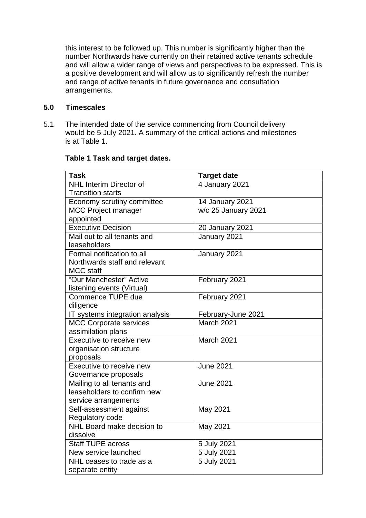this interest to be followed up. This number is significantly higher than the number Northwards have currently on their retained active tenants schedule and will allow a wider range of views and perspectives to be expressed. This is a positive development and will allow us to significantly refresh the number and range of active tenants in future governance and consultation arrangements.

## **5.0 Timescales**

5.1 The intended date of the service commencing from Council delivery would be 5 July 2021. A summary of the critical actions and milestones is at Table 1.

| <b>Task</b>                                               | <b>Target date</b>  |
|-----------------------------------------------------------|---------------------|
| <b>NHL Interim Director of</b>                            | 4 January 2021      |
| <b>Transition starts</b>                                  |                     |
| Economy scrutiny committee                                | 14 January 2021     |
| <b>MCC Project manager</b>                                | w/c 25 January 2021 |
| appointed                                                 |                     |
| <b>Executive Decision</b>                                 | 20 January 2021     |
| Mail out to all tenants and                               | January 2021        |
| leaseholders                                              |                     |
| Formal notification to all                                | January 2021        |
| Northwards staff and relevant                             |                     |
| <b>MCC</b> staff                                          |                     |
| "Our Manchester" Active                                   | February 2021       |
| listening events (Virtual)                                |                     |
| Commence TUPE due                                         | February 2021       |
| diligence                                                 |                     |
| IT systems integration analysis                           | February-June 2021  |
| <b>MCC Corporate services</b>                             | March 2021          |
| assimilation plans                                        |                     |
| Executive to receive new                                  | March 2021          |
| organisation structure                                    |                     |
| proposals                                                 |                     |
| Executive to receive new                                  | <b>June 2021</b>    |
| Governance proposals                                      | <b>June 2021</b>    |
| Mailing to all tenants and<br>leaseholders to confirm new |                     |
|                                                           |                     |
| service arrangements<br>Self-assessment against           |                     |
| Regulatory code                                           | May 2021            |
| NHL Board make decision to                                | May 2021            |
| dissolve                                                  |                     |
| <b>Staff TUPE across</b>                                  | 5 July 2021         |
| New service launched                                      | 5 July 2021         |
| NHL ceases to trade as a                                  | 5 July 2021         |
| separate entity                                           |                     |

## **Table 1 Task and target dates.**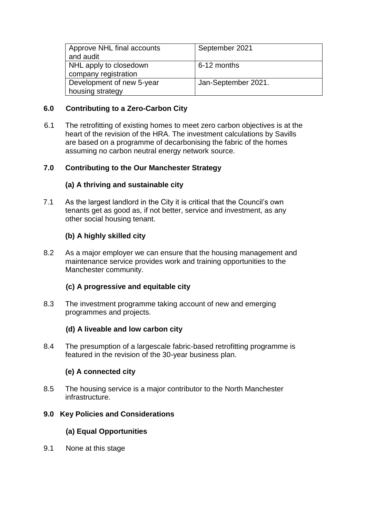| Approve NHL final accounts<br>and audit        | September 2021      |
|------------------------------------------------|---------------------|
| NHL apply to closedown<br>company registration | 6-12 months         |
| Development of new 5-year                      | Jan-September 2021. |
| housing strategy                               |                     |

## **6.0 Contributing to a Zero-Carbon City**

6.1 The retrofitting of existing homes to meet zero carbon objectives is at the heart of the revision of the HRA. The investment calculations by Savills are based on a programme of decarbonising the fabric of the homes assuming no carbon neutral energy network source.

## **7.0 Contributing to the Our Manchester Strategy**

## **(a) A thriving and sustainable city**

7.1 As the largest landlord in the City it is critical that the Council's own tenants get as good as, if not better, service and investment, as any other social housing tenant.

# **(b) A highly skilled city**

8.2 As a major employer we can ensure that the housing management and maintenance service provides work and training opportunities to the Manchester community.

### **(c) A progressive and equitable city**

8.3 The investment programme taking account of new and emerging programmes and projects.

### **(d) A liveable and low carbon city**

8.4 The presumption of a largescale fabric-based retrofitting programme is featured in the revision of the 30-year business plan.

# **(e) A connected city**

8.5 The housing service is a major contributor to the North Manchester infrastructure.

### **9.0 Key Policies and Considerations**

# **(a) Equal Opportunities**

9.1 None at this stage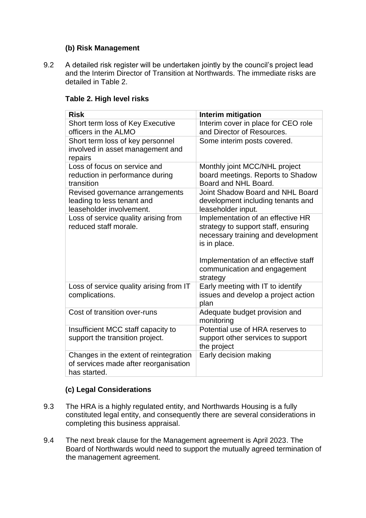## **(b) Risk Management**

9.2 A detailed risk register will be undertaken jointly by the council's project lead and the Interim Director of Transition at Northwards. The immediate risks are detailed in Table 2.

| <b>Risk</b>                                                                                     | Interim mitigation                                                                                                                                                                                     |
|-------------------------------------------------------------------------------------------------|--------------------------------------------------------------------------------------------------------------------------------------------------------------------------------------------------------|
| Short term loss of Key Executive<br>officers in the ALMO                                        | Interim cover in place for CEO role<br>and Director of Resources.                                                                                                                                      |
| Short term loss of key personnel<br>involved in asset management and<br>repairs                 | Some interim posts covered.                                                                                                                                                                            |
| Loss of focus on service and<br>reduction in performance during<br>transition                   | Monthly joint MCC/NHL project<br>board meetings. Reports to Shadow<br>Board and NHL Board.                                                                                                             |
| Revised governance arrangements<br>leading to less tenant and<br>leaseholder involvement.       | Joint Shadow Board and NHL Board<br>development including tenants and<br>leaseholder input.                                                                                                            |
| Loss of service quality arising from<br>reduced staff morale.                                   | Implementation of an effective HR<br>strategy to support staff, ensuring<br>necessary training and development<br>is in place.<br>Implementation of an effective staff<br>communication and engagement |
| Loss of service quality arising from IT<br>complications.                                       | strategy<br>Early meeting with IT to identify<br>issues and develop a project action<br>plan                                                                                                           |
| Cost of transition over-runs                                                                    | Adequate budget provision and<br>monitoring                                                                                                                                                            |
| Insufficient MCC staff capacity to<br>support the transition project.                           | Potential use of HRA reserves to<br>support other services to support<br>the project                                                                                                                   |
| Changes in the extent of reintegration<br>of services made after reorganisation<br>has started. | Early decision making                                                                                                                                                                                  |

## **Table 2. High level risks**

# **(c) Legal Considerations**

- 9.3 The HRA is a highly regulated entity, and Northwards Housing is a fully constituted legal entity, and consequently there are several considerations in completing this business appraisal.
- 9.4 The next break clause for the Management agreement is April 2023. The Board of Northwards would need to support the mutually agreed termination of the management agreement.